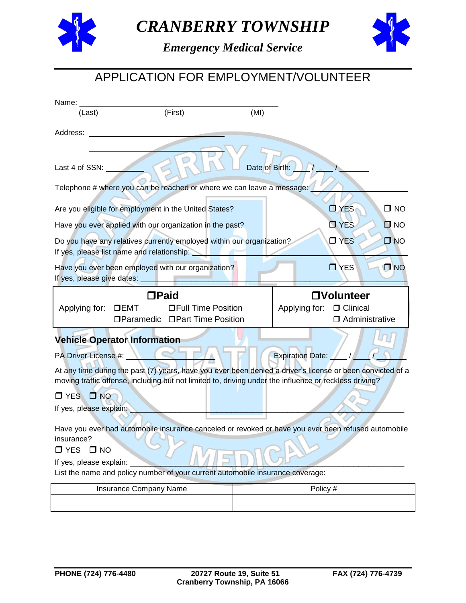

*CRANBERRY TOWNSHIP*



*Emergency Medical Service*

## APPLICATION FOR EMPLOYMENT/VOLUNTEER

| Name:                                                               |                                                                                                                     |      |                                                                                                                                       |  |  |  |  |
|---------------------------------------------------------------------|---------------------------------------------------------------------------------------------------------------------|------|---------------------------------------------------------------------------------------------------------------------------------------|--|--|--|--|
| (Last)                                                              | (First)                                                                                                             | (MI) |                                                                                                                                       |  |  |  |  |
| Address:                                                            |                                                                                                                     |      |                                                                                                                                       |  |  |  |  |
|                                                                     | Date of Birth:<br>Last 4 of SSN:                                                                                    |      |                                                                                                                                       |  |  |  |  |
|                                                                     | Telephone # where you can be reached or where we can leave a message:                                               |      |                                                                                                                                       |  |  |  |  |
|                                                                     | Are you eligible for employment in the United States?                                                               |      | $\Box$ YES<br>$\square$ NO                                                                                                            |  |  |  |  |
|                                                                     | Have you ever applied with our organization in the past?                                                            |      | $\Box$ YES<br>$\square$ NO                                                                                                            |  |  |  |  |
|                                                                     | Do you have any relatives currently employed within our organization?<br>If yes, please list name and relationship: |      | $\Box$ YES<br>$\square$ NO                                                                                                            |  |  |  |  |
| If yes, please give dates:                                          | Have you ever been employed with our organization?                                                                  |      | $\Box$ YES<br>$\Box$ NO                                                                                                               |  |  |  |  |
|                                                                     | $\Box$ Paid                                                                                                         |      | <b>OVolunteer</b>                                                                                                                     |  |  |  |  |
| Applying for:                                                       | <b>OFull Time Position</b><br>DEMT<br>□ Paramedic □ Part Time Position                                              |      | Applying for: □ Clinical<br>$\Box$ Administrative                                                                                     |  |  |  |  |
|                                                                     | <b>Vehicle Operator Information</b>                                                                                 |      |                                                                                                                                       |  |  |  |  |
|                                                                     |                                                                                                                     |      |                                                                                                                                       |  |  |  |  |
|                                                                     |                                                                                                                     |      |                                                                                                                                       |  |  |  |  |
| PA Driver License #: _                                              | moving traffic offense, including but not limited to, driving under the influence or reckless driving?              |      | <b>Expiration Date:</b><br>At any time during the past (7) years, have you ever been denied a driver's license or been convicted of a |  |  |  |  |
| $\Box$ NO<br>$\square$ YES                                          |                                                                                                                     |      |                                                                                                                                       |  |  |  |  |
| If yes, please explain:                                             |                                                                                                                     |      |                                                                                                                                       |  |  |  |  |
| insurance?<br>$\Box$ YES<br>$\square$ NO<br>If yes, please explain: |                                                                                                                     |      | Have you ever had automobile insurance canceled or revoked or have you ever been refused automobile                                   |  |  |  |  |
|                                                                     | List the name and policy number of your current automobile insurance coverage:                                      |      |                                                                                                                                       |  |  |  |  |
|                                                                     | Insurance Company Name                                                                                              |      | Policy #                                                                                                                              |  |  |  |  |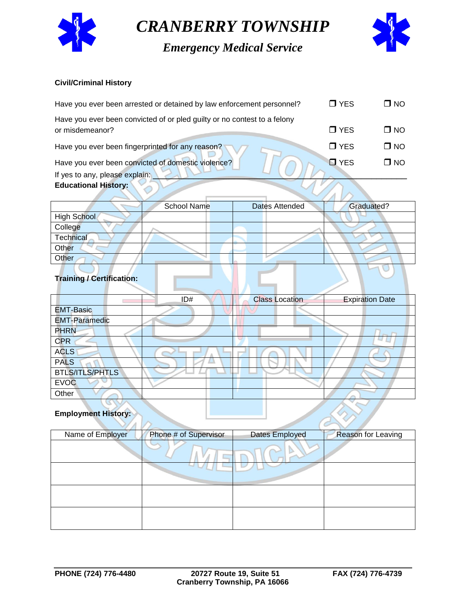

*CRANBERRY TOWNSHIP*

*Emergency Medical Service*



#### **Civil/Criminal History**

| <b>Educational History:</b>                                                                               |              |
|-----------------------------------------------------------------------------------------------------------|--------------|
| If yes to any, please explain:                                                                            |              |
| Have you ever been convicted of domestic violence?<br>$\blacksquare$ YES                                  | $\square$ NO |
| $\Box$ YES<br>Have you ever been fingerprinted for any reason?                                            | $\square$ NO |
| Have you ever been convicted of or pled guilty or no contest to a felony<br>$\Box$ YES<br>or misdemeanor? | $\square$ NO |
| $\Box$ YES<br>Have you ever been arrested or detained by law enforcement personnel?                       | $\square$ NO |

|                                  | <b>School Name</b> | Dates Attended | Graduated? |
|----------------------------------|--------------------|----------------|------------|
| <b>High School</b>               |                    |                |            |
| College                          |                    |                |            |
| Technical                        |                    |                |            |
| Other                            |                    |                |            |
| Other                            |                    |                |            |
| <b>Training / Certification:</b> |                    |                |            |

### **Training / Certification:**

|                        | ID# | <b>Class Location</b> | <b>Expiration Date</b> |
|------------------------|-----|-----------------------|------------------------|
| <b>EMT-Basic</b>       |     |                       |                        |
| <b>EMT-Paramedic</b>   |     |                       |                        |
| <b>PHRN</b>            |     |                       |                        |
| <b>CPR</b>             |     |                       |                        |
| <b>ACLS</b>            |     |                       |                        |
| <b>PALS</b>            |     |                       |                        |
| <b>BTLS/ITLS/PHTLS</b> |     |                       |                        |
| <b>EVOC</b>            |     |                       |                        |
| Other                  |     |                       |                        |
|                        |     |                       |                        |

#### **Employment History:**

| Name of Employer | Phone # of Supervisor | Dates Employed | <b>Reason for Leaving</b> |
|------------------|-----------------------|----------------|---------------------------|
|                  |                       |                |                           |
|                  |                       |                |                           |
|                  |                       |                |                           |
|                  |                       |                |                           |